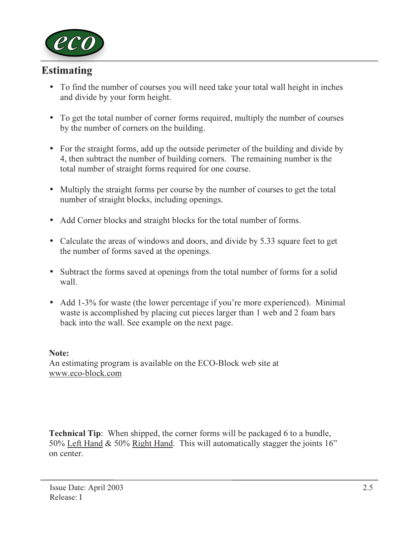

# Estimating

- To find the number of courses you will need take your total wall height in inches and divide by your form height.
- To get the total number of corner forms required, multiply the number of courses by the number of corners on the building.
- For the straight forms, add up the outside perimeter of the building and divide by 4, then subtract the number of building corners. The remaining number is the total number of straight forms required for one course.
- Multiply the straight forms per course by the number of courses to get the total number of straight blocks, including openings.
- Add Corner blocks and straight blocks for the total number of forms.
- Calculate the areas of windows and doors, and divide by 5.33 square feet to get the number of forms saved at the openings.
- Subtract the forms saved at openings from the total number of forms for a solid wall.
- Add 1-3% for waste (the lower percentage if you're more experienced). Minimal waste is accomplished by placing cut pieces larger than 1 web and 2 foam bars back into the wall. See example on the next page.

#### Note:

An estimating program is available on the ECO-Block web site at www.eco-block.com

Technical Tip: When shipped, the corner forms will be packaged 6 to a bundle, 50% Left Hand & 50% Right Hand. This will automatically stagger the joints 16" on center.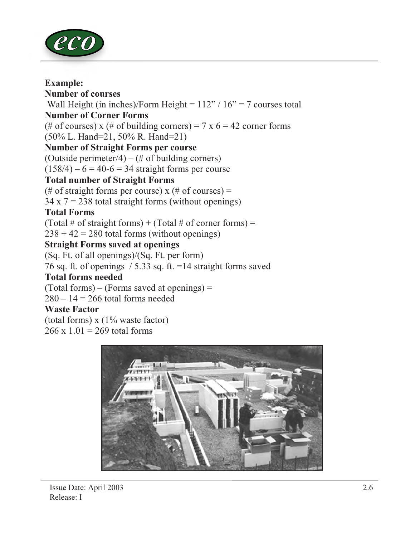

### Example:

Number of courses Wall Height (in inches)/Form Height =  $112$ " /  $16$ " = 7 courses total Number of Corner Forms (# of courses) x (# of building corners) = 7 x  $6 = 42$  corner forms (50% L. Hand=21, 50% R. Hand=21) Number of Straight Forms per course (Outside perimeter/4) – (# of building corners)  $(158/4) - 6 = 40-6 = 34$  straight forms per course Total number of Straight Forms (# of straight forms per course)  $x$  (# of courses) =  $34 \times 7 = 238$  total straight forms (without openings) Total Forms

(Total # of straight forms) + (Total # of corner forms) =

 $238 + 42 = 280$  total forms (without openings)

## Straight Forms saved at openings

(Sq. Ft. of all openings)/(Sq. Ft. per form) 76 sq. ft. of openings / 5.33 sq. ft. =14 straight forms saved

## Total forms needed

 $(Total forms) - (Forms saved at openings) =$ 

 $280 - 14 = 266$  total forms needed

# Waste Factor

(total forms) x (1% waste factor)  $266 \times 1.01 = 269$  total forms

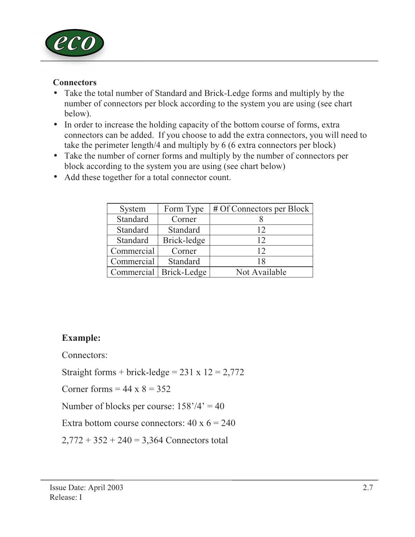

## **Connectors**

- Take the total number of Standard and Brick-Ledge forms and multiply by the number of connectors per block according to the system you are using (see chart below).
- In order to increase the holding capacity of the bottom course of forms, extra connectors can be added. If you choose to add the extra connectors, you will need to take the perimeter length/4 and multiply by 6 (6 extra connectors per block)
- Take the number of corner forms and multiply by the number of connectors per block according to the system you are using (see chart below)

| System     | Form Type   | # Of Connectors per Block |
|------------|-------------|---------------------------|
| Standard   | Corner      |                           |
| Standard   | Standard    | 12                        |
| Standard   | Brick-ledge | 12                        |
| Commercial | Corner      | 12                        |
| Commercial | Standard    | 18                        |
| Commercial | Brick-Ledge | Not Available             |

• Add these together for a total connector count.

# Example:

Connectors:

Straight forms + brick-ledge =  $231 \times 12 = 2,772$ 

Corner forms  $= 44 \times 8 = 352$ 

Number of blocks per course:  $158'/4' = 40$ 

Extra bottom course connectors:  $40 \times 6 = 240$ 

 $2,772 + 352 + 240 = 3,364$  Connectors total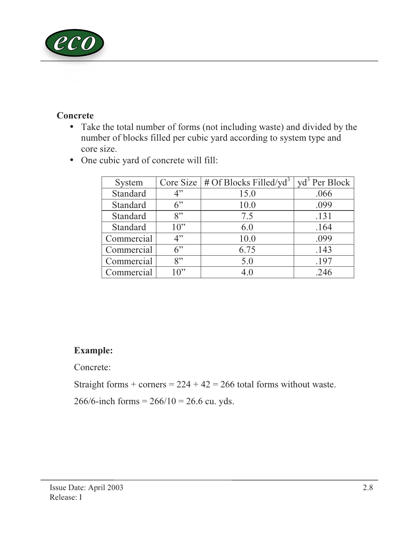

## **Concrete**

• Take the total number of forms (not including waste) and divided by the number of blocks filled per cubic yard according to system type and core size.

|  | • One cubic yard of concrete will fill: |  |  |  |
|--|-----------------------------------------|--|--|--|
|--|-----------------------------------------|--|--|--|

| System     |        | Core Size $\frac{4}{7}$ of Blocks Filled/yd <sup>3</sup> | $\text{yd}^3$ Per Block |
|------------|--------|----------------------------------------------------------|-------------------------|
| Standard   | 4"     | 15.0                                                     | .066                    |
| Standard   | 6      | 10.0                                                     | .099                    |
| Standard   | $8$ "  | 7.5                                                      | .131                    |
| Standard   | $10$ " | 6.0                                                      | .164                    |
| Commercial | 4"     | 10.0                                                     | .099                    |
| Commercial | 6"     | 6.75                                                     | .143                    |
| Commercial | $8$ "  | 5.0                                                      | .197                    |
| Commercial | $10$ " | 4.0                                                      | .246                    |

# Example:

Concrete:

Straight forms + corners =  $224 + 42 = 266$  total forms without waste.

266/6-inch forms =  $266/10 = 26.6$  cu. yds.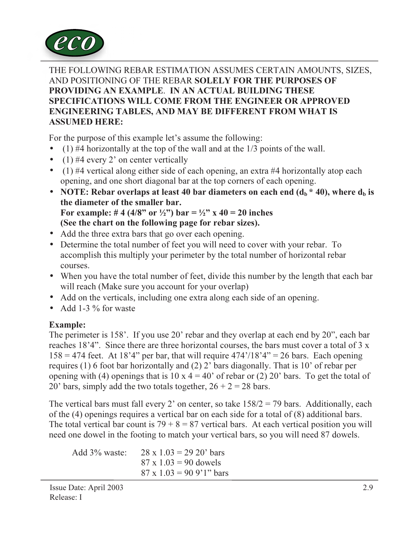

THE FOLLOWING REBAR ESTIMATION ASSUMES CERTAIN AMOUNTS, SIZES, AND POSITIONING OF THE REBAR SOLELY FOR THE PURPOSES OF PROVIDING AN EXAMPLE. IN AN ACTUAL BUILDING THESE SPECIFICATIONS WILL COME FROM THE ENGINEER OR APPROVED ENGINEERING TABLES, AND MAY BE DIFFERENT FROM WHAT IS ASSUMED HERE:

For the purpose of this example let's assume the following:

- (1)  $#4$  horizontally at the top of the wall and at the  $1/3$  points of the wall.
- (1) #4 every 2' on center vertically
- (1) #4 vertical along either side of each opening, an extra #4 horizontally atop each opening, and one short diagonal bar at the top corners of each opening.
- NOTE: Rebar overlaps at least 40 bar diameters on each end  $(d_h * 40)$ , where  $d_h$  is the diameter of the smaller bar. For example: #4 (4/8" or  $\frac{1}{2}$ ") bar =  $\frac{1}{2}$ " x 40 = 20 inches (See the chart on the following page for rebar sizes).
- Add the three extra bars that go over each opening.
- Determine the total number of feet you will need to cover with your rebar. To accomplish this multiply your perimeter by the total number of horizontal rebar courses.
- When you have the total number of feet, divide this number by the length that each bar will reach (Make sure you account for your overlap)
- Add on the verticals, including one extra along each side of an opening.
- Add 1-3  $\%$  for waste

## Example:

The perimeter is 158'. If you use 20' rebar and they overlap at each end by 20", each bar reaches 18'4". Since there are three horizontal courses, the bars must cover a total of 3 x  $158 = 474$  feet. At  $18'4''$  per bar, that will require  $474'/18'4'' = 26$  bars. Each opening requires (1) 6 foot bar horizontally and (2) 2' bars diagonally. That is 10' of rebar per opening with (4) openings that is  $10 \times 4 = 40'$  of rebar or (2) 20' bars. To get the total of 20' bars, simply add the two totals together,  $26 + 2 = 28$  bars.

The vertical bars must fall every 2' on center, so take  $158/2 = 79$  bars. Additionally, each of the (4) openings requires a vertical bar on each side for a total of (8) additional bars. The total vertical bar count is  $79 + 8 = 87$  vertical bars. At each vertical position you will need one dowel in the footing to match your vertical bars, so you will need 87 dowels.

 Add 3% waste: 28 x 1.03 = 29 20' bars  $87 \times 1.03 = 90$  dowels  $87 \times 1.03 = 90.9$ '1" bars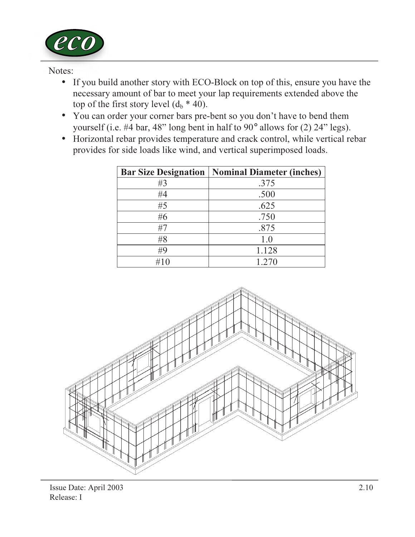

Notes:

- If you build another story with ECO-Block on top of this, ensure you have the necessary amount of bar to meet your lap requirements extended above the top of the first story level  $(d_h * 40)$ .
- You can order your corner bars pre-bent so you don't have to bend them yourself (i.e. #4 bar, 48" long bent in half to 90° allows for (2) 24" legs).
- Horizontal rebar provides temperature and crack control, while vertical rebar provides for side loads like wind, and vertical superimposed loads.

|     | <b>Bar Size Designation   Nominal Diameter (inches)</b> |
|-----|---------------------------------------------------------|
| #3  | .375                                                    |
| #4  | .500                                                    |
| #5  | .625                                                    |
| #6  | .750                                                    |
| #7  | .875                                                    |
| #8  | 1.0                                                     |
| #9  | 1.128                                                   |
| #10 | 1.270                                                   |

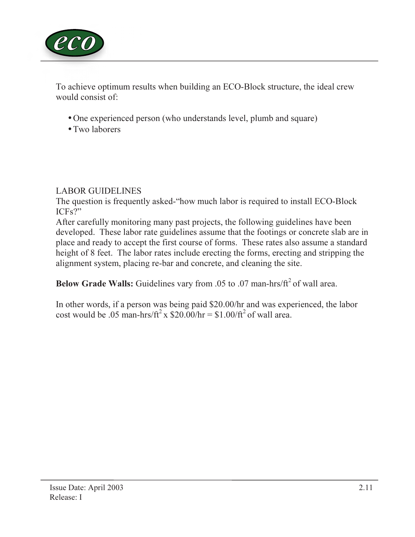

To achieve optimum results when building an ECO-Block structure, the ideal crew would consist of:

- One experienced person (who understands level, plumb and square)
- Two laborers

## LABOR GUIDELINES

The question is frequently asked-"how much labor is required to install ECO-Block ICFs?"

After carefully monitoring many past projects, the following guidelines have been developed. These labor rate guidelines assume that the footings or concrete slab are in place and ready to accept the first course of forms. These rates also assume a standard height of 8 feet. The labor rates include erecting the forms, erecting and stripping the alignment system, placing re-bar and concrete, and cleaning the site.

Below Grade Walls: Guidelines vary from .05 to .07 man-hrs/ $ft^2$  of wall area.

In other words, if a person was being paid \$20.00/hr and was experienced, the labor cost would be .05 man-hrs/ft<sup>2</sup> x  $$20.00/hr = $1.00/ft^2$  of wall area.